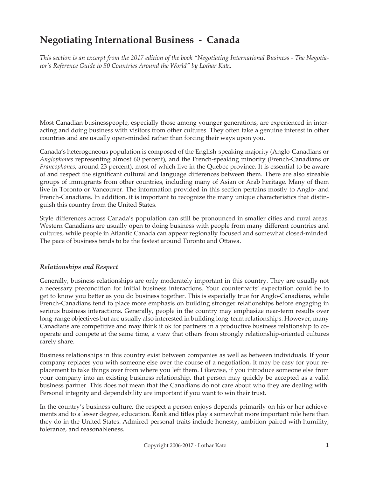# **Negotiating International Business - Canada**

*This section is an excerpt from the 2017 edition of the book "Negotiating International Business - The Negotiator's Reference Guide to 50 Countries Around the World" by Lothar Katz.*

Most Canadian businesspeople, especially those among younger generations, are experienced in interacting and doing business with visitors from other cultures. They often take a genuine interest in other countries and are usually open-minded rather than forcing their ways upon you.

Canada's heterogeneous population is composed of the English-speaking majority (Anglo-Canadians or *Anglophones* representing almost 60 percent), and the French-speaking minority (French-Canadians or *Francophones*, around 23 percent), most of which live in the Quebec province. It is essential to be aware of and respect the significant cultural and language differences between them. There are also sizeable groups of immigrants from other countries, including many of Asian or Arab heritage. Many of them live in Toronto or Vancouver. The information provided in this section pertains mostly to Anglo- and French-Canadians. In addition, it is important to recognize the many unique characteristics that distinguish this country from the United States.

Style differences across Canada's population can still be pronounced in smaller cities and rural areas. Western Canadians are usually open to doing business with people from many different countries and cultures, while people in Atlantic Canada can appear regionally focused and somewhat closed-minded. The pace of business tends to be the fastest around Toronto and Ottawa.

## *Relationships and Respect*

Generally, business relationships are only moderately important in this country. They are usually not a necessary precondition for initial business interactions. Your counterparts' expectation could be to get to know you better as you do business together. This is especially true for Anglo-Canadians, while French-Canadians tend to place more emphasis on building stronger relationships before engaging in serious business interactions. Generally, people in the country may emphasize near-term results over long-range objectives but are usually also interested in building long-term relationships. However, many Canadians are competitive and may think it ok for partners in a productive business relationship to cooperate and compete at the same time, a view that others from strongly relationship-oriented cultures rarely share.

Business relationships in this country exist between companies as well as between individuals. If your company replaces you with someone else over the course of a negotiation, it may be easy for your replacement to take things over from where you left them. Likewise, if you introduce someone else from your company into an existing business relationship, that person may quickly be accepted as a valid business partner. This does not mean that the Canadians do not care about who they are dealing with. Personal integrity and dependability are important if you want to win their trust.

In the country's business culture, the respect a person enjoys depends primarily on his or her achievements and to a lesser degree, education. Rank and titles play a somewhat more important role here than they do in the United States. Admired personal traits include honesty, ambition paired with humility, tolerance, and reasonableness.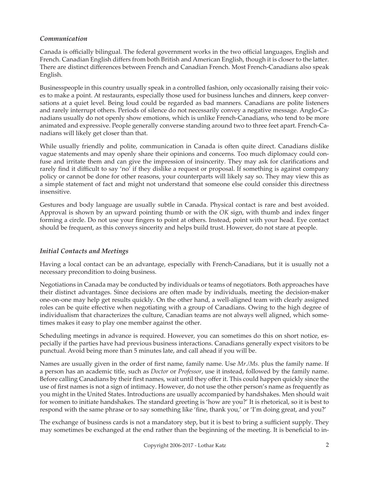### *Communication*

Canada is officially bilingual. The federal government works in the two official languages, English and French. Canadian English differs from both British and American English, though it is closer to the latter. There are distinct differences between French and Canadian French. Most French-Canadians also speak English.

Businesspeople in this country usually speak in a controlled fashion, only occasionally raising their voices to make a point. At restaurants, especially those used for business lunches and dinners, keep conversations at a quiet level. Being loud could be regarded as bad manners. Canadians are polite listeners and rarely interrupt others. Periods of silence do not necessarily convey a negative message. Anglo-Canadians usually do not openly show emotions, which is unlike French-Canadians, who tend to be more animated and expressive. People generally converse standing around two to three feet apart. French-Canadians will likely get closer than that.

While usually friendly and polite, communication in Canada is often quite direct. Canadians dislike vague statements and may openly share their opinions and concerns. Too much diplomacy could confuse and irritate them and can give the impression of insincerity. They may ask for clarifications and rarely find it difficult to say 'no' if they dislike a request or proposal. If something is against company policy or cannot be done for other reasons, your counterparts will likely say so. They may view this as a simple statement of fact and might not understand that someone else could consider this directness insensitive.

Gestures and body language are usually subtle in Canada. Physical contact is rare and best avoided. Approval is shown by an upward pointing thumb or with the *OK* sign, with thumb and index finger forming a circle. Do not use your fingers to point at others. Instead, point with your head. Eye contact should be frequent, as this conveys sincerity and helps build trust. However, do not stare at people.

## *Initial Contacts and Meetings*

Having a local contact can be an advantage, especially with French-Canadians, but it is usually not a necessary precondition to doing business.

Negotiations in Canada may be conducted by individuals or teams of negotiators. Both approaches have their distinct advantages. Since decisions are often made by individuals, meeting the decision-maker one-on-one may help get results quickly. On the other hand, a well-aligned team with clearly assigned roles can be quite effective when negotiating with a group of Canadians. Owing to the high degree of individualism that characterizes the culture, Canadian teams are not always well aligned, which sometimes makes it easy to play one member against the other.

Scheduling meetings in advance is required. However, you can sometimes do this on short notice, especially if the parties have had previous business interactions. Canadians generally expect visitors to be punctual. Avoid being more than 5 minutes late, and call ahead if you will be.

Names are usually given in the order of first name, family name. Use *Mr./Ms.* plus the family name. If a person has an academic title, such as *Doctor* or *Professor*, use it instead, followed by the family name. Before calling Canadians by their first names, wait until they offer it. This could happen quickly since the use of first names is not a sign of intimacy. However, do not use the other person's name as frequently as you might in the United States. Introductions are usually accompanied by handshakes. Men should wait for women to initiate handshakes. The standard greeting is 'how are you?' It is rhetorical, so it is best to respond with the same phrase or to say something like 'fine, thank you,' or 'I'm doing great, and you?'

The exchange of business cards is not a mandatory step, but it is best to bring a sufficient supply. They may sometimes be exchanged at the end rather than the beginning of the meeting. It is beneficial to in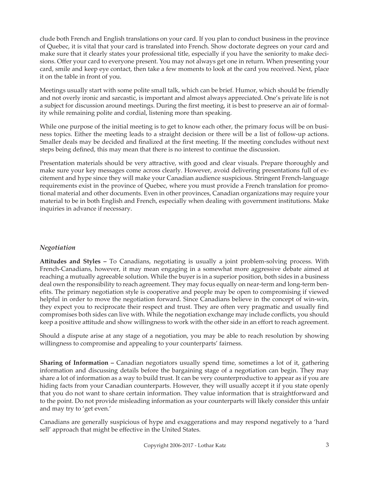clude both French and English translations on your card. If you plan to conduct business in the province of Quebec, it is vital that your card is translated into French. Show doctorate degrees on your card and make sure that it clearly states your professional title, especially if you have the seniority to make decisions. Offer your card to everyone present. You may not always get one in return. When presenting your card, smile and keep eye contact, then take a few moments to look at the card you received. Next, place it on the table in front of you.

Meetings usually start with some polite small talk, which can be brief. Humor, which should be friendly and not overly ironic and sarcastic, is important and almost always appreciated. One's private life is not a subject for discussion around meetings. During the first meeting, it is best to preserve an air of formality while remaining polite and cordial, listening more than speaking.

While one purpose of the initial meeting is to get to know each other, the primary focus will be on business topics. Either the meeting leads to a straight decision or there will be a list of follow-up actions. Smaller deals may be decided and finalized at the first meeting. If the meeting concludes without next steps being defined, this may mean that there is no interest to continue the discussion.

Presentation materials should be very attractive, with good and clear visuals. Prepare thoroughly and make sure your key messages come across clearly. However, avoid delivering presentations full of excitement and hype since they will make your Canadian audience suspicious. Stringent French-language requirements exist in the province of Quebec, where you must provide a French translation for promotional material and other documents. Even in other provinces, Canadian organizations may require your material to be in both English and French, especially when dealing with government institutions. Make inquiries in advance if necessary.

# *Negotiation*

**Attitudes and Styles –** To Canadians, negotiating is usually a joint problem-solving process. With French-Canadians, however, it may mean engaging in a somewhat more aggressive debate aimed at reaching a mutually agreeable solution. While the buyer is in a superior position, both sides in a business deal own the responsibility to reach agreement. They may focus equally on near-term and long-term benefits. The primary negotiation style is cooperative and people may be open to compromising if viewed helpful in order to move the negotiation forward. Since Canadians believe in the concept of win-win, they expect you to reciprocate their respect and trust. They are often very pragmatic and usually find compromises both sides can live with. While the negotiation exchange may include conflicts, you should keep a positive attitude and show willingness to work with the other side in an effort to reach agreement.

Should a dispute arise at any stage of a negotiation, you may be able to reach resolution by showing willingness to compromise and appealing to your counterparts' fairness.

**Sharing of Information –** Canadian negotiators usually spend time, sometimes a lot of it, gathering information and discussing details before the bargaining stage of a negotiation can begin. They may share a lot of information as a way to build trust. It can be very counterproductive to appear as if you are hiding facts from your Canadian counterparts. However, they will usually accept it if you state openly that you do not want to share certain information. They value information that is straightforward and to the point. Do not provide misleading information as your counterparts will likely consider this unfair and may try to 'get even.'

Canadians are generally suspicious of hype and exaggerations and may respond negatively to a 'hard sell' approach that might be effective in the United States.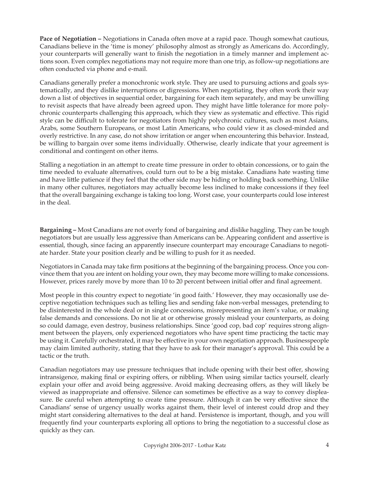**Pace of Negotiation –** Negotiations in Canada often move at a rapid pace. Though somewhat cautious, Canadians believe in the 'time is money' philosophy almost as strongly as Americans do. Accordingly, your counterparts will generally want to finish the negotiation in a timely manner and implement actions soon. Even complex negotiations may not require more than one trip, as follow-up negotiations are often conducted via phone and e-mail.

Canadians generally prefer a monochronic work style. They are used to pursuing actions and goals systematically, and they dislike interruptions or digressions. When negotiating, they often work their way down a list of objectives in sequential order, bargaining for each item separately, and may be unwilling to revisit aspects that have already been agreed upon. They might have little tolerance for more polychronic counterparts challenging this approach, which they view as systematic and effective. This rigid style can be difficult to tolerate for negotiators from highly polychronic cultures, such as most Asians, Arabs, some Southern Europeans, or most Latin Americans, who could view it as closed-minded and overly restrictive. In any case, do not show irritation or anger when encountering this behavior. Instead, be willing to bargain over some items individually. Otherwise, clearly indicate that your agreement is conditional and contingent on other items.

Stalling a negotiation in an attempt to create time pressure in order to obtain concessions, or to gain the time needed to evaluate alternatives, could turn out to be a big mistake. Canadians hate wasting time and have little patience if they feel that the other side may be hiding or holding back something. Unlike in many other cultures, negotiators may actually become less inclined to make concessions if they feel that the overall bargaining exchange is taking too long. Worst case, your counterparts could lose interest in the deal.

**Bargaining –** Most Canadians are not overly fond of bargaining and dislike haggling. They can be tough negotiators but are usually less aggressive than Americans can be. Appearing confident and assertive is essential, though, since facing an apparently insecure counterpart may encourage Canadians to negotiate harder. State your position clearly and be willing to push for it as needed.

Negotiators in Canada may take firm positions at the beginning of the bargaining process. Once you convince them that you are intent on holding your own, they may become more willing to make concessions. However, prices rarely move by more than 10 to 20 percent between initial offer and final agreement.

Most people in this country expect to negotiate 'in good faith.' However, they may occasionally use deceptive negotiation techniques such as telling lies and sending fake non-verbal messages, pretending to be disinterested in the whole deal or in single concessions, misrepresenting an item's value, or making false demands and concessions. Do not lie at or otherwise grossly mislead your counterparts, as doing so could damage, even destroy, business relationships. Since 'good cop, bad cop' requires strong alignment between the players, only experienced negotiators who have spent time practicing the tactic may be using it. Carefully orchestrated, it may be effective in your own negotiation approach. Businesspeople may claim limited authority, stating that they have to ask for their manager's approval. This could be a tactic or the truth.

Canadian negotiators may use pressure techniques that include opening with their best offer, showing intransigence, making final or expiring offers, or nibbling. When using similar tactics yourself, clearly explain your offer and avoid being aggressive. Avoid making decreasing offers, as they will likely be viewed as inappropriate and offensive. Silence can sometimes be effective as a way to convey displeasure. Be careful when attempting to create time pressure. Although it can be very effective since the Canadians' sense of urgency usually works against them, their level of interest could drop and they might start considering alternatives to the deal at hand. Persistence is important, though, and you will frequently find your counterparts exploring all options to bring the negotiation to a successful close as quickly as they can.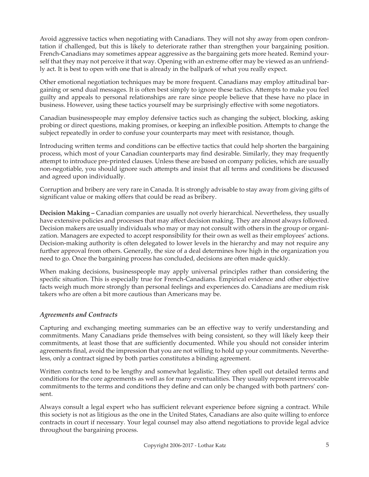Avoid aggressive tactics when negotiating with Canadians. They will not shy away from open confrontation if challenged, but this is likely to deteriorate rather than strengthen your bargaining position. French-Canadians may sometimes appear aggressive as the bargaining gets more heated. Remind yourself that they may not perceive it that way. Opening with an extreme offer may be viewed as an unfriendly act. It is best to open with one that is already in the ballpark of what you really expect.

Other emotional negotiation techniques may be more frequent. Canadians may employ attitudinal bargaining or send dual messages. It is often best simply to ignore these tactics. Attempts to make you feel guilty and appeals to personal relationships are rare since people believe that these have no place in business. However, using these tactics yourself may be surprisingly effective with some negotiators.

Canadian businesspeople may employ defensive tactics such as changing the subject, blocking, asking probing or direct questions, making promises, or keeping an inflexible position. Attempts to change the subject repeatedly in order to confuse your counterparts may meet with resistance, though.

Introducing written terms and conditions can be effective tactics that could help shorten the bargaining process, which most of your Canadian counterparts may find desirable. Similarly, they may frequently attempt to introduce pre-printed clauses. Unless these are based on company policies, which are usually non-negotiable, you should ignore such attempts and insist that all terms and conditions be discussed and agreed upon individually.

Corruption and bribery are very rare in Canada. It is strongly advisable to stay away from giving gifts of significant value or making offers that could be read as bribery.

**Decision Making –** Canadian companies are usually not overly hierarchical. Nevertheless, they usually have extensive policies and processes that may affect decision making. They are almost always followed. Decision makers are usually individuals who may or may not consult with others in the group or organization. Managers are expected to accept responsibility for their own as well as their employees' actions. Decision-making authority is often delegated to lower levels in the hierarchy and may not require any further approval from others. Generally, the size of a deal determines how high in the organization you need to go. Once the bargaining process has concluded, decisions are often made quickly.

When making decisions, businesspeople may apply universal principles rather than considering the specific situation. This is especially true for French-Canadians. Empirical evidence and other objective facts weigh much more strongly than personal feelings and experiences do. Canadians are medium risk takers who are often a bit more cautious than Americans may be.

## *Agreements and Contracts*

Capturing and exchanging meeting summaries can be an effective way to verify understanding and commitments. Many Canadians pride themselves with being consistent, so they will likely keep their commitments, at least those that are sufficiently documented. While you should not consider interim agreements final, avoid the impression that you are not willing to hold up your commitments. Nevertheless, only a contract signed by both parties constitutes a binding agreement.

Written contracts tend to be lengthy and somewhat legalistic. They often spell out detailed terms and conditions for the core agreements as well as for many eventualities. They usually represent irrevocable commitments to the terms and conditions they define and can only be changed with both partners' consent.

Always consult a legal expert who has sufficient relevant experience before signing a contract. While this society is not as litigious as the one in the United States, Canadians are also quite willing to enforce contracts in court if necessary. Your legal counsel may also attend negotiations to provide legal advice throughout the bargaining process.